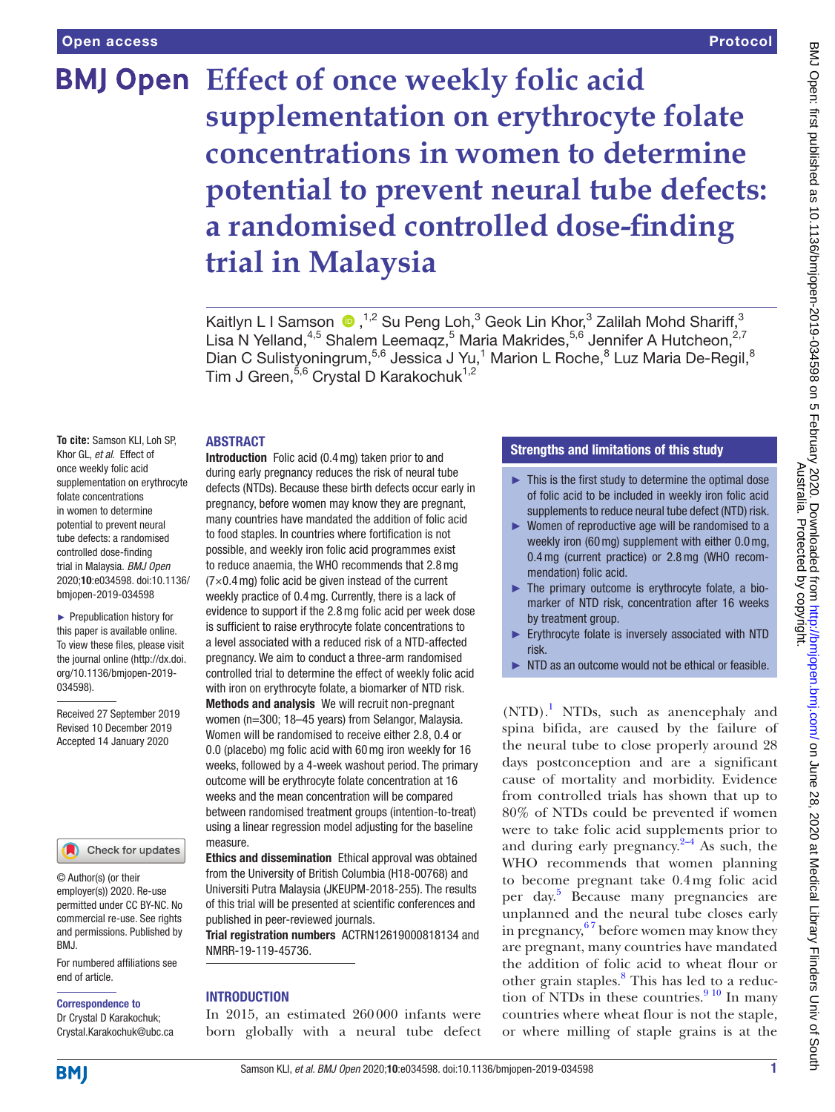# **BMJ Open** Effect of once weekly folic acid **supplementation on erythrocyte folate concentrations in women to determine potential to prevent neural tube defects: a randomised controlled dose-finding trial in Malaysia**

Kaitlyn L I Samson  $\bigcirc$ ,<sup>1,2</sup> Su Peng Loh,<sup>3</sup> Geok Lin Khor,<sup>3</sup> Zalilah Mohd Shariff,<sup>3</sup> Lisa N Yelland,<sup>4,5</sup> Shalem Leemaqz,<sup>5</sup> Maria Makrides,<sup>5,6</sup> Jennifer A Hutcheon,<sup>2,7</sup> Dian C Sulistyoningrum,<sup>5,6</sup> Jessica J Yu,<sup>1</sup> Marion L Roche,<sup>8</sup> Luz Maria De-Regil,<sup>8</sup> Tim J Green,<sup>5,6</sup> Crystal D Karakochuk<sup>1,2</sup>

#### **ABSTRACT**

**To cite:** Samson KLI, Loh SP, Khor GL, *et al*. Effect of once weekly folic acid supplementation on erythrocyte folate concentrations in women to determine potential to prevent neural tube defects: a randomised controlled dose-finding trial in Malaysia. *BMJ Open* 2020;10:e034598. doi:10.1136/ bmjopen-2019-034598

► Prepublication history for this paper is available online. To view these files, please visit the journal online (http://dx.doi. org/10.1136/bmjopen-2019- 034598).

Received 27 September 2019 Revised 10 December 2019 Accepted 14 January 2020



© Author(s) (or their employer(s)) 2020. Re-use permitted under CC BY-NC. No commercial re-use. See rights and permissions. Published by BMJ.

For numbered affiliations see end of article.

#### Correspondence to

Dr Crystal D Karakochuk; Crystal.Karakochuk@ubc.ca

Introduction Folic acid (0.4mg) taken prior to and during early pregnancy reduces the risk of neural tube defects (NTDs). Because these birth defects occur early in pregnancy, before women may know they are pregnant, many countries have mandated the addition of folic acid to food staples. In countries where fortification is not possible, and weekly iron folic acid programmes exist to reduce anaemia, the WHO recommends that 2.8mg  $(7\times0.4$  mg) folic acid be given instead of the current weekly practice of 0.4mg. Currently, there is a lack of evidence to support if the 2.8mg folic acid per week dose is sufficient to raise erythrocyte folate concentrations to a level associated with a reduced risk of a NTD-affected pregnancy. We aim to conduct a three-arm randomised controlled trial to determine the effect of weekly folic acid with iron on erythrocyte folate, a biomarker of NTD risk. Methods and analysis We will recruit non-pregnant

women (n=300; 18–45 years) from Selangor, Malaysia. Women will be randomised to receive either 2.8, 0.4 or 0.0 (placebo) mg folic acid with 60mg iron weekly for 16 weeks, followed by a 4-week washout period. The primary outcome will be erythrocyte folate concentration at 16 weeks and the mean concentration will be compared between randomised treatment groups (intention-to-treat) using a linear regression model adjusting for the baseline measure.

Ethics and dissemination Ethical approval was obtained from the University of British Columbia (H18-00768) and Universiti Putra Malaysia (JKEUPM-2018-255). The results of this trial will be presented at scientific conferences and published in peer-reviewed journals.

Trial registration numbers ACTRN12619000818134 and NMRR-19-119-45736.

#### **INTRODUCTION**

In 2015, an estimated 260000 infants were born globally with a neural tube defect

# Strengths and limitations of this study

- ► This is the first study to determine the optimal dose of folic acid to be included in weekly iron folic acid supplements to reduce neural tube defect (NTD) risk.
- ► Women of reproductive age will be randomised to a weekly iron (60mg) supplement with either 0.0mg, 0.4mg (current practice) or 2.8mg (WHO recommendation) folic acid.
- $\blacktriangleright$  The primary outcome is erythrocyte folate, a biomarker of NTD risk, concentration after 16 weeks by treatment group.
- ► Erythrocyte folate is inversely associated with NTD risk.
- NTD as an outcome would not be ethical or feasible.

(NTD).<sup>1</sup> NTDs, such as anencephaly and spina bifida, are caused by the failure of the neural tube to close properly around 28 days postconception and are a significant cause of mortality and morbidity. Evidence from controlled trials has shown that up to 80% of NTDs could be prevented if women were to take folic acid supplements prior to and during early pregnancy. $2-4$  As such, the WHO recommends that women planning to become pregnant take 0.4mg folic acid per day.<sup>[5](#page-4-2)</sup> Because many pregnancies are unplanned and the neural tube closes early in pregnancy,  $67$  before women may know they are pregnant, many countries have mandated the addition of folic acid to wheat flour or other grain staples.<sup>8</sup> This has led to a reduction of NTDs in these countries. $910$  In many countries where wheat flour is not the staple, or where milling of staple grains is at the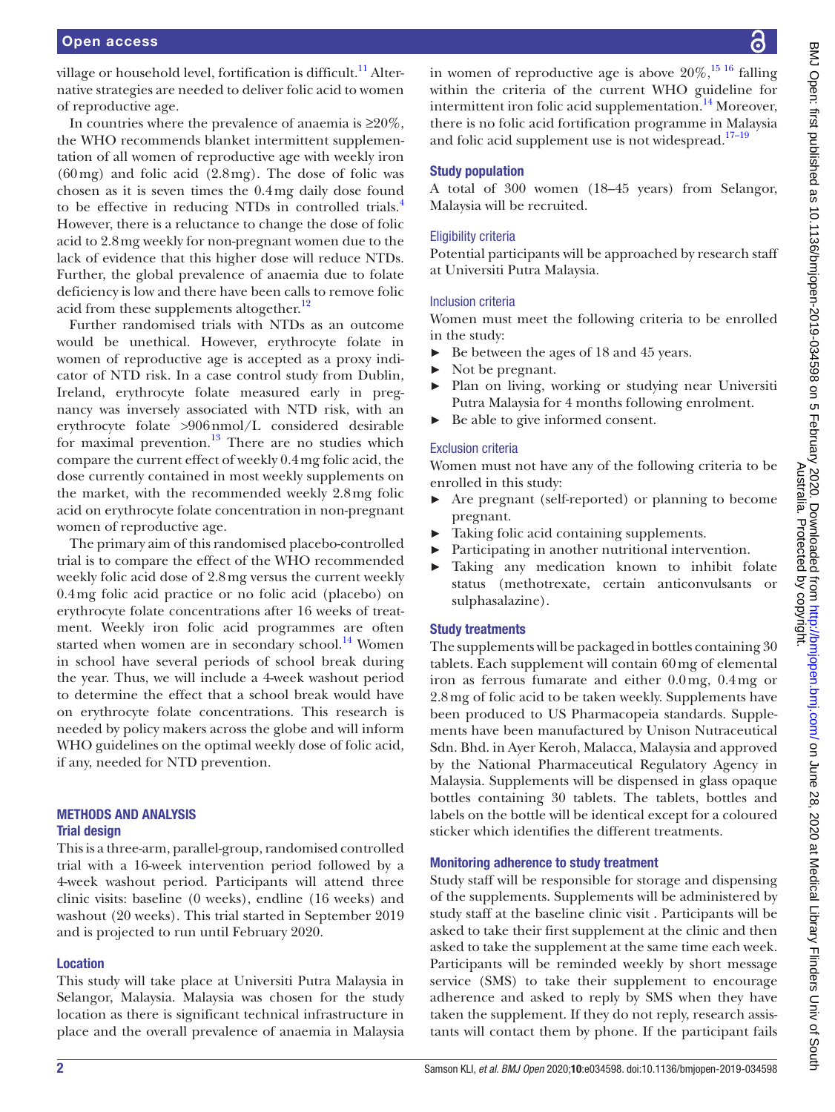village or household level, fortification is difficult.<sup>11</sup> Alternative strategies are needed to deliver folic acid to women of reproductive age.

In countries where the prevalence of anaemia is  $\geq 20\%$ , the WHO recommends blanket intermittent supplementation of all women of reproductive age with weekly iron  $(60 \,\text{mg})$  and folic acid  $(2.8 \,\text{mg})$ . The dose of folic was chosen as it is seven times the 0.4mg daily dose found to be effective in reducing NTDs in controlled trials.<sup>[4](#page-4-7)</sup> However, there is a reluctance to change the dose of folic acid to 2.8mg weekly for non-pregnant women due to the lack of evidence that this higher dose will reduce NTDs. Further, the global prevalence of anaemia due to folate deficiency is low and there have been calls to remove folic acid from these supplements altogether.<sup>[12](#page-4-8)</sup>

Further randomised trials with NTDs as an outcome would be unethical. However, erythrocyte folate in women of reproductive age is accepted as a proxy indicator of NTD risk. In a case control study from Dublin, Ireland, erythrocyte folate measured early in pregnancy was inversely associated with NTD risk, with an erythrocyte folate >906nmol/L considered desirable for maximal prevention. $^{13}$  There are no studies which compare the current effect of weekly 0.4mg folic acid, the dose currently contained in most weekly supplements on the market, with the recommended weekly 2.8mg folic acid on erythrocyte folate concentration in non-pregnant women of reproductive age.

The primary aim of this randomised placebo-controlled trial is to compare the effect of the WHO recommended weekly folic acid dose of 2.8mg versus the current weekly 0.4mg folic acid practice or no folic acid (placebo) on erythrocyte folate concentrations after 16 weeks of treatment. Weekly iron folic acid programmes are often started when women are in secondary school.<sup>14</sup> Women in school have several periods of school break during the year. Thus, we will include a 4-week washout period to determine the effect that a school break would have on erythrocyte folate concentrations. This research is needed by policy makers across the globe and will inform WHO guidelines on the optimal weekly dose of folic acid, if any, needed for NTD prevention.

## Methods and analysis Trial design

This is a three-arm, parallel-group, randomised controlled trial with a 16-week intervention period followed by a 4-week washout period. Participants will attend three clinic visits: baseline (0 weeks), endline (16 weeks) and washout (20 weeks). This trial started in September 2019 and is projected to run until February 2020.

## Location

This study will take place at Universiti Putra Malaysia in Selangor, Malaysia. Malaysia was chosen for the study location as there is significant technical infrastructure in place and the overall prevalence of anaemia in Malaysia

in women of reproductive age is above  $20\%$ ,<sup>15 16</sup> falling within the criteria of the current WHO guideline for intermittent iron folic acid supplementation.<sup>[14](#page-5-1)</sup> Moreover, there is no folic acid fortification programme in Malaysia and folic acid supplement use is not widespread.<sup>17-19</sup>

## Study population

A total of 300 women (18–45 years) from Selangor, Malaysia will be recruited.

## Eligibility criteria

Potential participants will be approached by research staff at Universiti Putra Malaysia.

## Inclusion criteria

Women must meet the following criteria to be enrolled in the study:

- ► Be between the ages of 18 and 45 years.
- Not be pregnant.
- Plan on living, working or studying near Universiti Putra Malaysia for 4 months following enrolment.
- ► Be able to give informed consent.

## Exclusion criteria

Women must not have any of the following criteria to be enrolled in this study:

- ► Are pregnant (self-reported) or planning to become pregnant.
- Taking folic acid containing supplements.
- Participating in another nutritional intervention.
- Taking any medication known to inhibit folate status (methotrexate, certain anticonvulsants or sulphasalazine).

## Study treatments

The supplements will be packaged in bottles containing 30 tablets. Each supplement will contain 60mg of elemental iron as ferrous fumarate and either 0.0mg, 0.4mg or 2.8mg of folic acid to be taken weekly. Supplements have been produced to US Pharmacopeia standards. Supplements have been manufactured by Unison Nutraceutical Sdn. Bhd. in Ayer Keroh, Malacca, Malaysia and approved by the National Pharmaceutical Regulatory Agency in Malaysia. Supplements will be dispensed in glass opaque bottles containing 30 tablets. The tablets, bottles and labels on the bottle will be identical except for a coloured sticker which identifies the different treatments.

## Monitoring adherence to study treatment

Study staff will be responsible for storage and dispensing of the supplements. Supplements will be administered by study staff at the baseline clinic visit . Participants will be asked to take their first supplement at the clinic and then asked to take the supplement at the same time each week. Participants will be reminded weekly by short message service (SMS) to take their supplement to encourage adherence and asked to reply by SMS when they have taken the supplement. If they do not reply, research assistants will contact them by phone. If the participant fails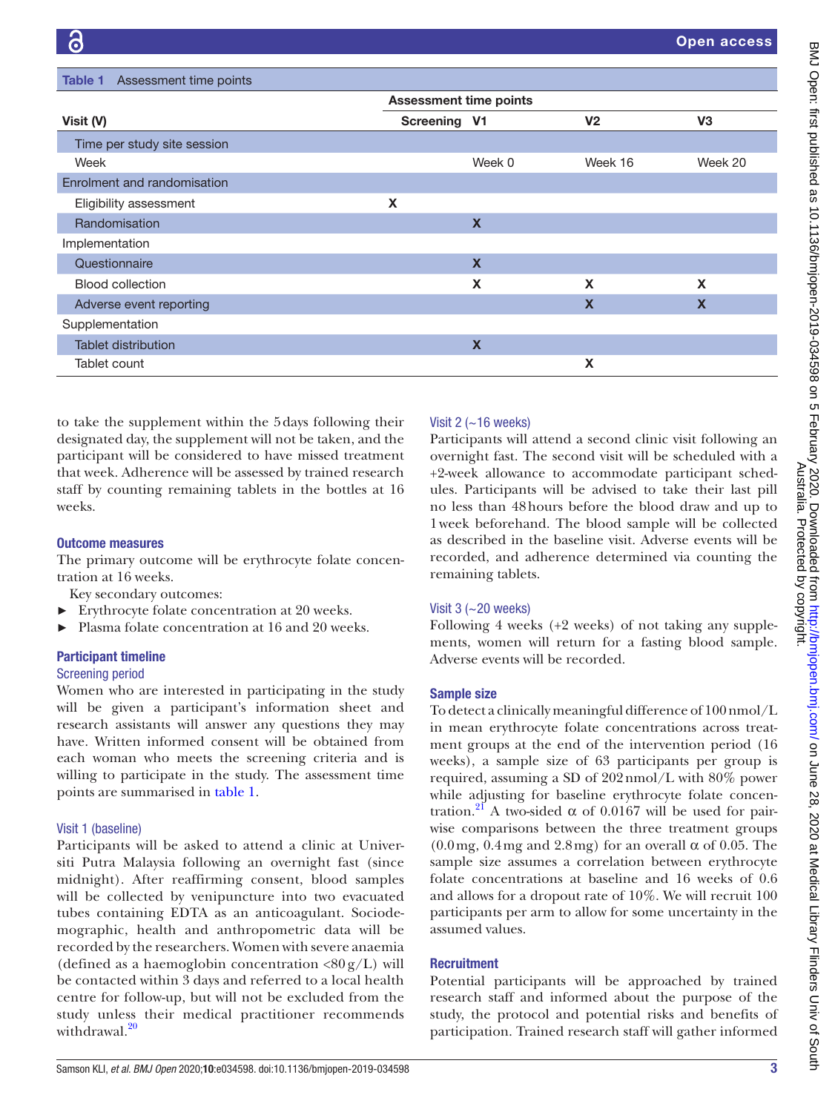<span id="page-2-0"></span>

| Assessment time points<br>Table 1 |                               |                           |                           |                |
|-----------------------------------|-------------------------------|---------------------------|---------------------------|----------------|
|                                   | <b>Assessment time points</b> |                           |                           |                |
| Visit (V)                         | Screening V1                  |                           | V <sub>2</sub>            | V <sub>3</sub> |
| Time per study site session       |                               |                           |                           |                |
| Week                              |                               | Week 0                    | Week 16                   | Week 20        |
| Enrolment and randomisation       |                               |                           |                           |                |
| Eligibility assessment            | X                             |                           |                           |                |
| Randomisation                     |                               | $\boldsymbol{\mathsf{X}}$ |                           |                |
| Implementation                    |                               |                           |                           |                |
| Questionnaire                     |                               | $\boldsymbol{\mathsf{X}}$ |                           |                |
| <b>Blood collection</b>           |                               | X                         | X                         | X              |
| Adverse event reporting           |                               |                           | $\boldsymbol{\mathsf{x}}$ | $\mathbf x$    |
| Supplementation                   |                               |                           |                           |                |
| <b>Tablet distribution</b>        |                               | $\boldsymbol{\mathsf{X}}$ |                           |                |
| Tablet count                      |                               |                           | X                         |                |

to take the supplement within the 5days following their designated day, the supplement will not be taken, and the participant will be considered to have missed treatment that week. Adherence will be assessed by trained research staff by counting remaining tablets in the bottles at 16 weeks.

## Outcome measures

The primary outcome will be erythrocyte folate concentration at 16 weeks.

Key secondary outcomes:

- Erythrocyte folate concentration at 20 weeks.
- Plasma folate concentration at 16 and 20 weeks.

## Participant timeline

## Screening period

Women who are interested in participating in the study will be given a participant's information sheet and research assistants will answer any questions they may have. Written informed consent will be obtained from each woman who meets the screening criteria and is willing to participate in the study. The assessment time points are summarised in [table](#page-2-0) 1.

## Visit 1 (baseline)

Participants will be asked to attend a clinic at Universiti Putra Malaysia following an overnight fast (since midnight). After reaffirming consent, blood samples will be collected by venipuncture into two evacuated tubes containing EDTA as an anticoagulant. Sociodemographic, health and anthropometric data will be recorded by the researchers. Women with severe anaemia (defined as a haemoglobin concentration  $\langle 80 \text{ g/L} \rangle$  will be contacted within 3 days and referred to a local health centre for follow-up, but will not be excluded from the study unless their medical practitioner recommends withdrawal.<sup>[20](#page-5-4)</sup>

# Visit 2  $(-16$  weeks)

Participants will attend a second clinic visit following an overnight fast. The second visit will be scheduled with a +2-week allowance to accommodate participant schedules. Participants will be advised to take their last pill no less than 48hours before the blood draw and up to 1week beforehand. The blood sample will be collected as described in the baseline visit. Adverse events will be recorded, and adherence determined via counting the remaining tablets.

# Visit  $3$  ( $\sim$  20 weeks)

Following 4 weeks (+2 weeks) of not taking any supplements, women will return for a fasting blood sample. Adverse events will be recorded.

# Sample size

To detect a clinically meaningful difference of 100nmol/L in mean erythrocyte folate concentrations across treatment groups at the end of the intervention period (16 weeks), a sample size of 63 participants per group is required, assuming a SD of 202nmol/L with 80% power while adjusting for baseline erythrocyte folate concentration.<sup>21</sup> A two-sided α of 0.0167 will be used for pairwise comparisons between the three treatment groups  $(0.0 \text{ mg}, 0.4 \text{ mg} \text{ and } 2.8 \text{ mg})$  for an overall  $\alpha$  of 0.05. The sample size assumes a correlation between erythrocyte folate concentrations at baseline and 16 weeks of 0.6 and allows for a dropout rate of 10%. We will recruit 100 participants per arm to allow for some uncertainty in the assumed values.

# **Recruitment**

Potential participants will be approached by trained research staff and informed about the purpose of the study, the protocol and potential risks and benefits of participation. Trained research staff will gather informed

Australia. Protected by copyright.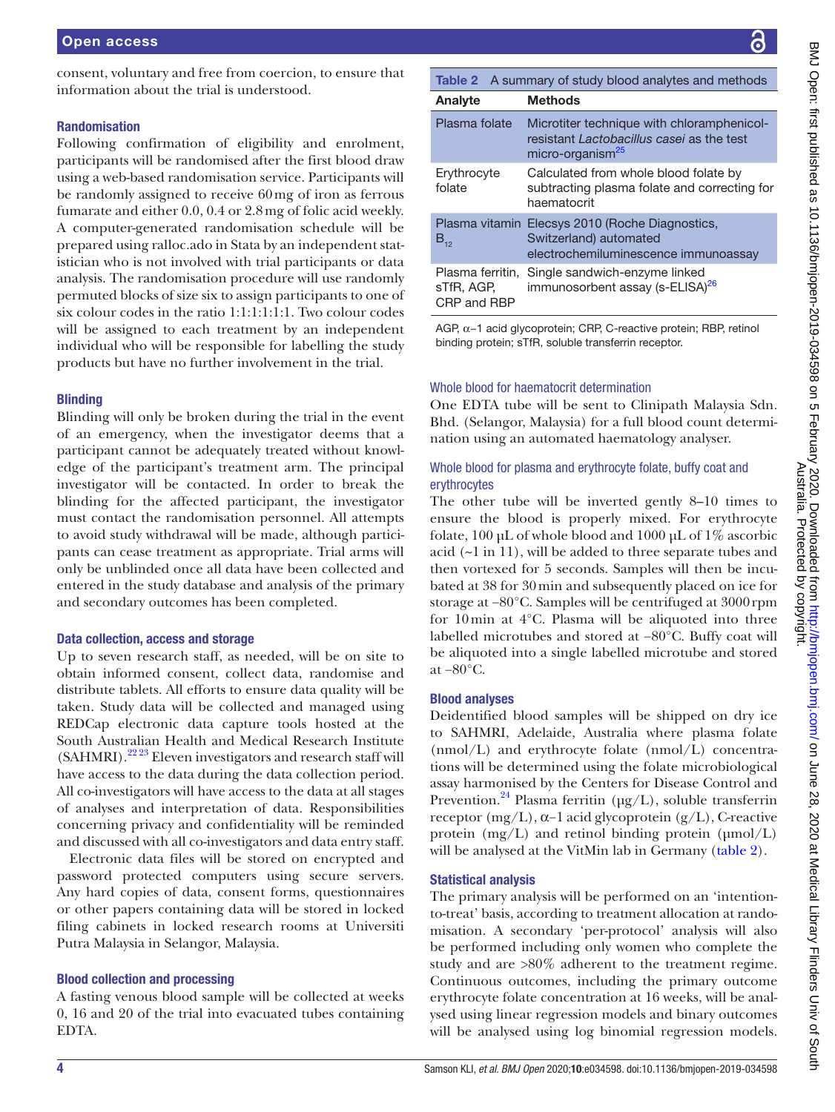consent, voluntary and free from coercion, to ensure that information about the trial is understood.

## Randomisation

Following confirmation of eligibility and enrolment, participants will be randomised after the first blood draw using a web-based randomisation service. Participants will be randomly assigned to receive 60mg of iron as ferrous fumarate and either 0.0, 0.4 or 2.8mg of folic acid weekly. A computer-generated randomisation schedule will be prepared using ralloc.ado in Stata by an independent statistician who is not involved with trial participants or data analysis. The randomisation procedure will use randomly permuted blocks of size six to assign participants to one of six colour codes in the ratio 1:1:1:1:1:1. Two colour codes will be assigned to each treatment by an independent individual who will be responsible for labelling the study products but have no further involvement in the trial.

## **Blinding**

Blinding will only be broken during the trial in the event of an emergency, when the investigator deems that a participant cannot be adequately treated without knowledge of the participant's treatment arm. The principal investigator will be contacted. In order to break the blinding for the affected participant, the investigator must contact the randomisation personnel. All attempts to avoid study withdrawal will be made, although participants can cease treatment as appropriate. Trial arms will only be unblinded once all data have been collected and entered in the study database and analysis of the primary and secondary outcomes has been completed.

## Data collection, access and storage

Up to seven research staff, as needed, will be on site to obtain informed consent, collect data, randomise and distribute tablets. All efforts to ensure data quality will be taken. Study data will be collected and managed using REDCap electronic data capture tools hosted at the South Australian Health and Medical Research Institute  $(SAHMRI).<sup>22.23</sup>$  Eleven investigators and research staff will have access to the data during the data collection period. All co-investigators will have access to the data at all stages of analyses and interpretation of data. Responsibilities concerning privacy and confidentiality will be reminded and discussed with all co-investigators and data entry staff.

Electronic data files will be stored on encrypted and password protected computers using secure servers. Any hard copies of data, consent forms, questionnaires or other papers containing data will be stored in locked filing cabinets in locked research rooms at Universiti Putra Malaysia in Selangor, Malaysia.

# Blood collection and processing

A fasting venous blood sample will be collected at weeks 0, 16 and 20 of the trial into evacuated tubes containing EDTA.

<span id="page-3-0"></span>

| <b>Table 2</b> A summary of study blood analytes and methods |                                                                                                                         |  |  |
|--------------------------------------------------------------|-------------------------------------------------------------------------------------------------------------------------|--|--|
| Analyte                                                      | Methods                                                                                                                 |  |  |
| Plasma folate                                                | Microtiter technique with chloramphenicol-<br>resistant Lactobacillus casei as the test<br>micro-organism <sup>25</sup> |  |  |
| Erythrocyte<br>folate                                        | Calculated from whole blood folate by<br>subtracting plasma folate and correcting for<br>haematocrit                    |  |  |
| $B_{12}$                                                     | Plasma vitamin Elecsys 2010 (Roche Diagnostics,<br>Switzerland) automated<br>electrochemiluminescence immunoassay       |  |  |
| sTfR, AGP,<br>CRP and RRP                                    | Plasma ferritin, Single sandwich-enzyme linked<br>immunosorbent assay (s-ELISA) <sup>26</sup>                           |  |  |

AGP, α−1 acid glycoprotein; CRP, C-reactive protein; RBP, retinol binding protein; sTfR, soluble transferrin receptor.

# Whole blood for haematocrit determination

One EDTA tube will be sent to Clinipath Malaysia Sdn. Bhd. (Selangor, Malaysia) for a full blood count determination using an automated haematology analyser.

# Whole blood for plasma and erythrocyte folate, buffy coat and erythrocytes

The other tube will be inverted gently 8–10 times to ensure the blood is properly mixed. For erythrocyte folate, 100 µL of whole blood and 1000 µL of 1% ascorbic acid (~1 in 11), will be added to three separate tubes and then vortexed for 5 seconds. Samples will then be incubated at 38 for 30min and subsequently placed on ice for storage at −80°C. Samples will be centrifuged at 3000rpm for 10min at 4°C. Plasma will be aliquoted into three labelled microtubes and stored at −80°C. Buffy coat will be aliquoted into a single labelled microtube and stored at −80°C.

## Blood analyses

Deidentified blood samples will be shipped on dry ice to SAHMRI, Adelaide, Australia where plasma folate (nmol/L) and erythrocyte folate (nmol/L) concentrations will be determined using the folate microbiological assay harmonised by the Centers for Disease Control and Prevention.<sup>24</sup> Plasma ferritin ( $\mu$ g/L), soluble transferrin receptor (mg/L), α−1 acid glycoprotein (g/L), C-reactive protein  $(mg/L)$  and retinol binding protein  $(\mu mol/L)$ will be analysed at the VitMin lab in Germany [\(table](#page-3-0) 2).

# Statistical analysis

The primary analysis will be performed on an 'intentionto-treat' basis, according to treatment allocation at randomisation. A secondary 'per-protocol' analysis will also be performed including only women who complete the study and are >80% adherent to the treatment regime. Continuous outcomes, including the primary outcome erythrocyte folate concentration at 16 weeks, will be analysed using linear regression models and binary outcomes will be analysed using log binomial regression models.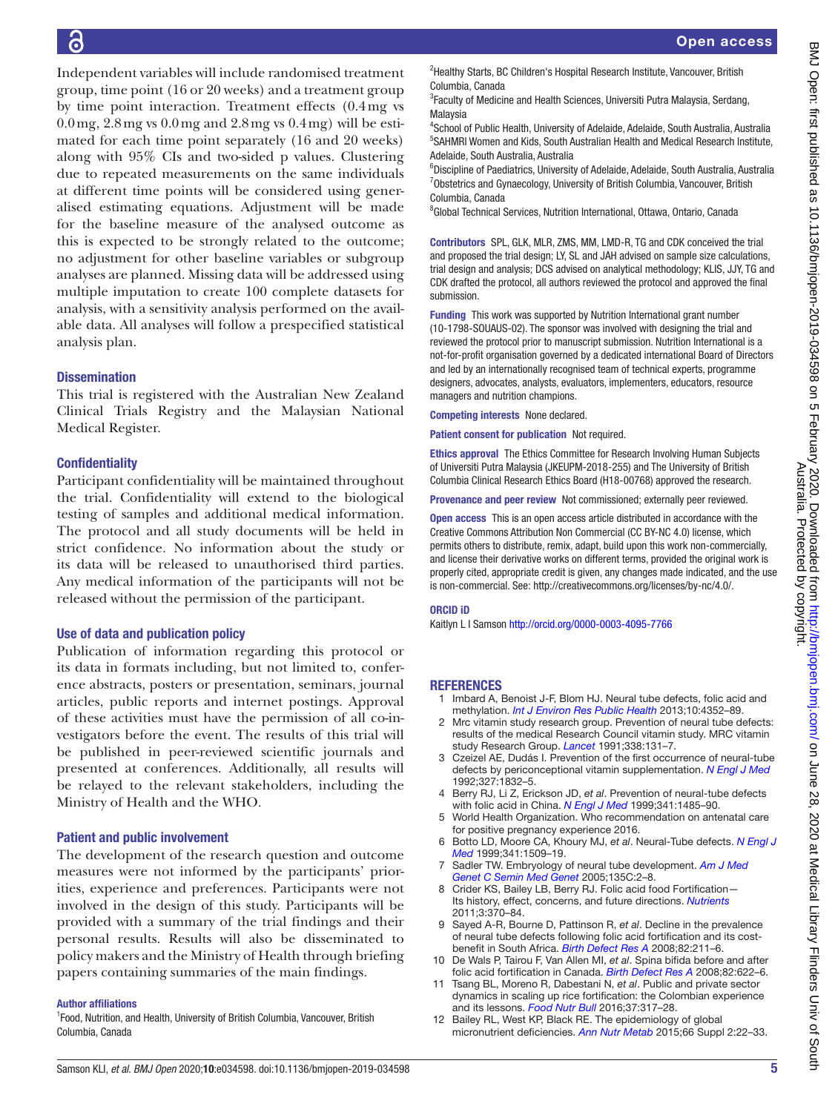Independent variables will include randomised treatment group, time point (16 or 20 weeks) and a treatment group by time point interaction. Treatment effects (0.4mg vs  $0.0 \,\text{mg}$ ,  $2.8 \,\text{mg}$  vs  $0.0 \,\text{mg}$  and  $2.8 \,\text{mg}$  vs  $0.4 \,\text{mg}$ ) will be estimated for each time point separately (16 and 20 weeks) along with 95% CIs and two-sided p values. Clustering due to repeated measurements on the same individuals at different time points will be considered using generalised estimating equations. Adjustment will be made for the baseline measure of the analysed outcome as this is expected to be strongly related to the outcome; no adjustment for other baseline variables or subgroup analyses are planned. Missing data will be addressed using multiple imputation to create 100 complete datasets for analysis, with a sensitivity analysis performed on the available data. All analyses will follow a prespecified statistical analysis plan.

## **Dissemination**

This trial is registered with the Australian New Zealand Clinical Trials Registry and the Malaysian National Medical Register.

## **Confidentiality**

Participant confidentiality will be maintained throughout the trial. Confidentiality will extend to the biological testing of samples and additional medical information. The protocol and all study documents will be held in strict confidence. No information about the study or its data will be released to unauthorised third parties. Any medical information of the participants will not be released without the permission of the participant.

## Use of data and publication policy

Publication of information regarding this protocol or its data in formats including, but not limited to, conference abstracts, posters or presentation, seminars, journal articles, public reports and internet postings. Approval of these activities must have the permission of all co-investigators before the event. The results of this trial will be published in peer-reviewed scientific journals and presented at conferences. Additionally, all results will be relayed to the relevant stakeholders, including the Ministry of Health and the WHO.

## Patient and public involvement

The development of the research question and outcome measures were not informed by the participants' priorities, experience and preferences. Participants were not involved in the design of this study. Participants will be provided with a summary of the trial findings and their personal results. Results will also be disseminated to policy makers and the Ministry of Health through briefing papers containing summaries of the main findings.

#### Author affiliations

<sup>1</sup> Food, Nutrition, and Health, University of British Columbia, Vancouver, British Columbia, Canada

<sup>2</sup>Healthy Starts, BC Children's Hospital Research Institute, Vancouver, British Columbia, Canada

<sup>3</sup> Faculty of Medicine and Health Sciences, Universiti Putra Malaysia, Serdang, Malaysia

4 School of Public Health, University of Adelaide, Adelaide, South Australia, Australia 5 SAHMRI Women and Kids, South Australian Health and Medical Research Institute, Adelaide, South Australia, Australia

<sup>6</sup>Discipline of Paediatrics, University of Adelaide, Adelaide, South Australia, Australia <sup>7</sup>Obstetrics and Gynaecology, University of British Columbia, Vancouver, British Columbia, Canada

<sup>8</sup>Global Technical Services, Nutrition International, Ottawa, Ontario, Canada

Contributors SPL, GLK, MLR, ZMS, MM, LMD-R, TG and CDK conceived the trial and proposed the trial design; LY, SL and JAH advised on sample size calculations, trial design and analysis; DCS advised on analytical methodology; KLIS, JJY, TG and CDK drafted the protocol, all authors reviewed the protocol and approved the final submission.

Funding This work was supported by Nutrition International grant number (10-1798-SOUAUS-02). The sponsor was involved with designing the trial and reviewed the protocol prior to manuscript submission. Nutrition International is a not-for-profit organisation governed by a dedicated international Board of Directors and led by an internationally recognised team of technical experts, programme designers, advocates, analysts, evaluators, implementers, educators, resource managers and nutrition champions.

Competing interests None declared.

Patient consent for publication Not required.

Ethics approval The Ethics Committee for Research Involving Human Subjects of Universiti Putra Malaysia (JKEUPM-2018-255) and The University of British Columbia Clinical Research Ethics Board (H18-00768) approved the research.

Provenance and peer review Not commissioned; externally peer reviewed.

Open access This is an open access article distributed in accordance with the Creative Commons Attribution Non Commercial (CC BY-NC 4.0) license, which permits others to distribute, remix, adapt, build upon this work non-commercially, and license their derivative works on different terms, provided the original work is properly cited, appropriate credit is given, any changes made indicated, and the use is non-commercial. See: [http://creativecommons.org/licenses/by-nc/4.0/.](http://creativecommons.org/licenses/by-nc/4.0/)

#### ORCID iD

Kaitlyn L I Samson<http://orcid.org/0000-0003-4095-7766>

## **REFERENCES**

- <span id="page-4-0"></span>1 Imbard A, Benoist J-F, Blom HJ. Neural tube defects, folic acid and methylation. *[Int J Environ Res Public Health](http://dx.doi.org/10.3390/ijerph10094352)* 2013;10:4352–89.
- <span id="page-4-1"></span>Mrc vitamin study research group. Prevention of neural tube defects: results of the medical Research Council vitamin study. MRC vitamin study Research Group. *[Lancet](http://www.ncbi.nlm.nih.gov/pubmed/1677062)* 1991;338:131–7.
- 3 Czeizel AE, Dudás I. Prevention of the first occurrence of neural-tube defects by periconceptional vitamin supplementation. *[N Engl J Med](http://dx.doi.org/10.1056/NEJM199212243272602)* 1992;327:1832–5.
- <span id="page-4-7"></span>4 Berry RJ, Li Z, Erickson JD, *et al*. Prevention of neural-tube defects with folic acid in China. *[N Engl J Med](http://dx.doi.org/10.1056/NEJM199911113412001)* 1999;341:1485–90.
- <span id="page-4-2"></span>5 World Health Organization. Who recommendation on antenatal care for positive pregnancy experience 2016.
- <span id="page-4-3"></span>6 Botto LD, Moore CA, Khoury MJ, *et al*. Neural-Tube defects. *[N Engl J](http://dx.doi.org/10.1056/NEJM199911113412006)  [Med](http://dx.doi.org/10.1056/NEJM199911113412006)* 1999;341:1509–19.
- Sadler TW. Embryology of neural tube development. *Am J Med [Genet C Semin Med Genet](http://dx.doi.org/10.1002/ajmg.c.30049)* 2005;135C:2–8.
- <span id="page-4-4"></span>8 Crider KS, Bailey LB, Berry RJ. Folic acid food Fortification— Its history, effect, concerns, and future directions. *[Nutrients](http://dx.doi.org/10.3390/nu3030370)* 2011;3:370–84.
- <span id="page-4-5"></span>9 Sayed A-R, Bourne D, Pattinson R, *et al*. Decline in the prevalence of neural tube defects following folic acid fortification and its costbenefit in South Africa. *[Birth Defect Res A](http://dx.doi.org/10.1002/bdra.20442)* 2008;82:211–6.
- 10 De Wals P, Tairou F, Van Allen MI, *et al*. Spina bifida before and after folic acid fortification in Canada. *[Birth Defect Res A](http://dx.doi.org/10.1002/bdra.20485)* 2008;82:622–6.
- <span id="page-4-6"></span>11 Tsang BL, Moreno R, Dabestani N, *et al*. Public and private sector dynamics in scaling up rice fortification: the Colombian experience and its lessons. *[Food Nutr Bull](http://dx.doi.org/10.1177/0379572116646897)* 2016;37:317–28.
- <span id="page-4-8"></span>12 Bailey RL, West KP, Black RE. The epidemiology of global micronutrient deficiencies. *[Ann Nutr Metab](http://dx.doi.org/10.1159/000371618)* 2015;66 Suppl 2:22–33.